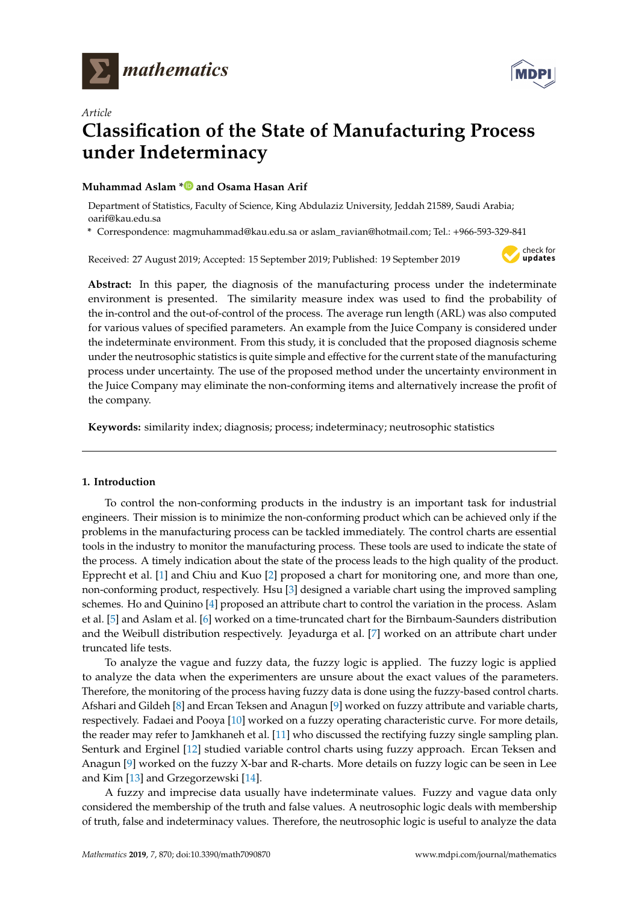



# *Article* **Classification of the State of Manufacturing Process under Indeterminacy**

# **Muhammad Aslam [\\*](https://orcid.org/0000-0003-0644-1950) and Osama Hasan Arif**

Department of Statistics, Faculty of Science, King Abdulaziz University, Jeddah 21589, Saudi Arabia; oarif@kau.edu.sa

**\*** Correspondence: magmuhammad@kau.edu.sa or aslam\_ravian@hotmail.com; Tel.: +966-593-329-841

Received: 27 August 2019; Accepted: 15 September 2019; Published: 19 September 2019



**Abstract:** In this paper, the diagnosis of the manufacturing process under the indeterminate environment is presented. The similarity measure index was used to find the probability of the in-control and the out-of-control of the process. The average run length (ARL) was also computed for various values of specified parameters. An example from the Juice Company is considered under the indeterminate environment. From this study, it is concluded that the proposed diagnosis scheme under the neutrosophic statistics is quite simple and effective for the current state of the manufacturing process under uncertainty. The use of the proposed method under the uncertainty environment in the Juice Company may eliminate the non-conforming items and alternatively increase the profit of the company.

**Keywords:** similarity index; diagnosis; process; indeterminacy; neutrosophic statistics

# **1. Introduction**

To control the non-conforming products in the industry is an important task for industrial engineers. Their mission is to minimize the non-conforming product which can be achieved only if the problems in the manufacturing process can be tackled immediately. The control charts are essential tools in the industry to monitor the manufacturing process. These tools are used to indicate the state of the process. A timely indication about the state of the process leads to the high quality of the product. Epprecht et al. [\[1\]](#page-6-0) and Chiu and Kuo [\[2\]](#page-6-1) proposed a chart for monitoring one, and more than one, non-conforming product, respectively. Hsu [\[3\]](#page-6-2) designed a variable chart using the improved sampling schemes. Ho and Quinino [\[4\]](#page-6-3) proposed an attribute chart to control the variation in the process. Aslam et al. [\[5\]](#page-6-4) and Aslam et al. [\[6\]](#page-6-5) worked on a time-truncated chart for the Birnbaum-Saunders distribution and the Weibull distribution respectively. Jeyadurga et al. [\[7\]](#page-6-6) worked on an attribute chart under truncated life tests.

To analyze the vague and fuzzy data, the fuzzy logic is applied. The fuzzy logic is applied to analyze the data when the experimenters are unsure about the exact values of the parameters. Therefore, the monitoring of the process having fuzzy data is done using the fuzzy-based control charts. Afshari and Gildeh [\[8\]](#page-6-7) and Ercan Teksen and Anagun [\[9\]](#page-6-8) worked on fuzzy attribute and variable charts, respectively. Fadaei and Pooya [\[10\]](#page-6-9) worked on a fuzzy operating characteristic curve. For more details, the reader may refer to Jamkhaneh et al. [\[11\]](#page-6-10) who discussed the rectifying fuzzy single sampling plan. Senturk and Erginel [\[12\]](#page-6-11) studied variable control charts using fuzzy approach. Ercan Teksen and Anagun [\[9\]](#page-6-8) worked on the fuzzy X-bar and R-charts. More details on fuzzy logic can be seen in Lee and Kim [\[13\]](#page-6-12) and Grzegorzewski [\[14\]](#page-6-13).

A fuzzy and imprecise data usually have indeterminate values. Fuzzy and vague data only considered the membership of the truth and false values. A neutrosophic logic deals with membership of truth, false and indeterminacy values. Therefore, the neutrosophic logic is useful to analyze the data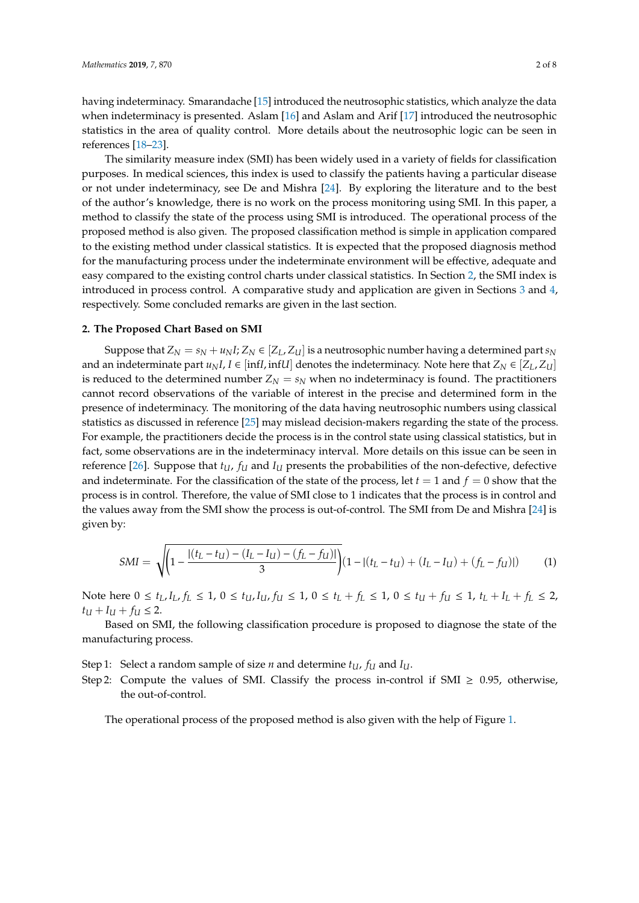having indeterminacy. Smarandache [\[15\]](#page-6-14) introduced the neutrosophic statistics, which analyze the data when indeterminacy is presented. Aslam [\[16\]](#page-7-0) and Aslam and Arif [\[17\]](#page-7-1) introduced the neutrosophic statistics in the area of quality control. More details about the neutrosophic logic can be seen in references [\[18–](#page-7-2)[23\]](#page-7-3).

The similarity measure index (SMI) has been widely used in a variety of fields for classification purposes. In medical sciences, this index is used to classify the patients having a particular disease or not under indeterminacy, see De and Mishra [\[24\]](#page-7-4). By exploring the literature and to the best of the author's knowledge, there is no work on the process monitoring using SMI. In this paper, a method to classify the state of the process using SMI is introduced. The operational process of the proposed method is also given. The proposed classification method is simple in application compared to the existing method under classical statistics. It is expected that the proposed diagnosis method for the manufacturing process under the indeterminate environment will be effective, adequate and easy compared to the existing control charts under classical statistics. In Section [2,](#page-1-0) the SMI index is introduced in process control. A comparative study and application are given in Sections [3](#page-5-0) and [4,](#page-5-1) respectively. Some concluded remarks are given in the last section.

#### <span id="page-1-0"></span>**2. The Proposed Chart Based on SMI**

Suppose that  $Z_N = s_N + u_N I$ ;  $Z_N \in [Z_L, Z_U]$  is a neutrosophic number having a determined part  $s_N$ and an indeterminate part  $u_N I$ ,  $I \in [infI, infU]$  denotes the indeterminacy. Note here that  $Z_N \in [Z_L, Z_U]$ is reduced to the determined number  $Z_N = s_N$  when no indeterminacy is found. The practitioners cannot record observations of the variable of interest in the precise and determined form in the presence of indeterminacy. The monitoring of the data having neutrosophic numbers using classical statistics as discussed in reference [\[25\]](#page-7-5) may mislead decision-makers regarding the state of the process. For example, the practitioners decide the process is in the control state using classical statistics, but in fact, some observations are in the indeterminacy interval. More details on this issue can be seen in reference [\[26\]](#page-7-6). Suppose that  $t_U$ ,  $f_U$  and  $I_U$  presents the probabilities of the non-defective, defective and indeterminate. For the classification of the state of the process, let  $t = 1$  and  $f = 0$  show that the process is in control. Therefore, the value of SMI close to 1 indicates that the process is in control and the values away from the SMI show the process is out-of-control. The SMI from De and Mishra [\[24\]](#page-7-4) is given by:

$$
SMI = \sqrt{\left(1 - \frac{|(t_L - t_U) - (I_L - I_U) - (f_L - f_U)|}{3}\right)} (1 - |(t_L - t_U) + (I_L - I_U) + (f_L - f_U)|)
$$
(1)

Note here  $0 \le t_L$ ,  $I_L$ ,  $f_L \le 1$ ,  $0 \le t_U$ ,  $I_U$ ,  $f_U \le 1$ ,  $0 \le t_L + f_L \le 1$ ,  $0 \le t_U + f_U \le 1$ ,  $t_L + I_L + f_L \le 2$ ,  $t_U + I_U + f_U \leq 2$ .

Based on SMI, the following classification procedure is proposed to diagnose the state of the manufacturing process.

- Step 1: Select a random sample of size *n* and determine  $t_U$ ,  $f_U$  and  $I_U$ .
- Step 2: Compute the values of SMI. Classify the process in-control if SMI  $\geq 0.95$ , otherwise, the out-of-control.

The operational process of the proposed method is also given with the help of Figure [1.](#page-2-0)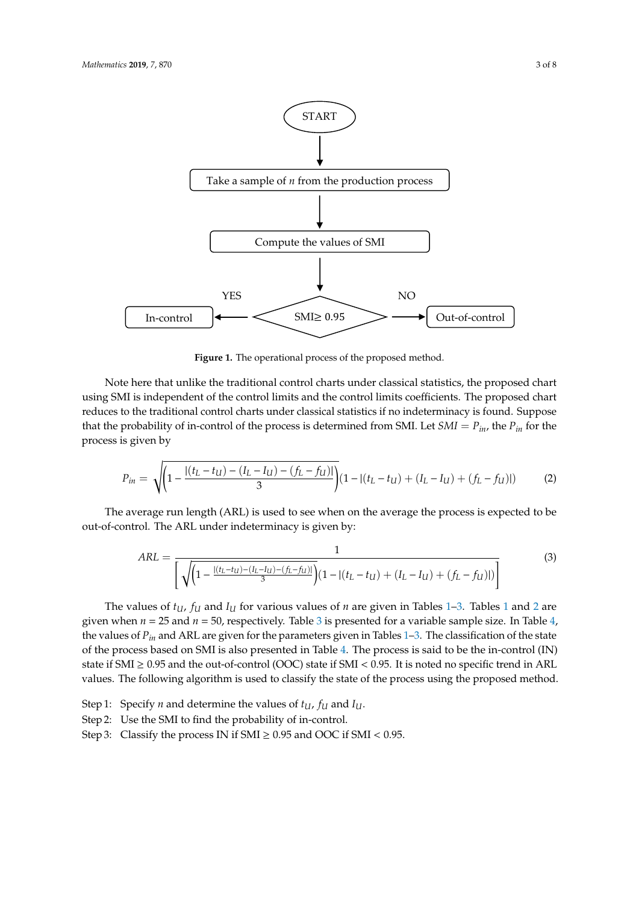<span id="page-2-0"></span>

**Figure 1.** The operational process of the proposed method.

Note here that unlike the traditional control charts under classical statistics, the proposed chart using SMI is independent of the control limits and the control limits coefficients. The proposed chart reduces to the traditional control charts under classical statistics if no indeterminacy is found. Suppose that the probability of in-control of the process is determined from SMI. Let  $SMI = P_{in}$ , the  $P_{in}$  for the process is given by

$$
P_{in} = \sqrt{\left(1 - \frac{|(t_L - t_U) - (I_L - I_U) - (f_L - f_U)|}{3}\right)} (1 - |(t_L - t_U) + (I_L - I_U) + (f_L - f_U)|)
$$
(2)

The average run length (ARL) is used to see when on the average the process is expected to be out-of-control. The ARL under indeterminacy is given by:

$$
ARL = \frac{1}{\left[\sqrt{\left(1 - \frac{|(t_L - t_U) - (t_L - t_U) - (f_L - f_U)|}{3}\right)} (1 - |(t_L - t_U) + (I_L - I_U) + (f_L - f_U)|)\right]}
$$
(3)

The values of  $t_{U}$ ,  $f_{U}$  and  $I_{U}$  for various values of *n* are given in Tables [1–](#page-3-0)[3.](#page-4-0) Tables [1](#page-3-0) and [2](#page-3-1) are given when  $n = 25$  and  $n = 50$ , respectively. Table [3](#page-4-0) is presented for a variable sample size. In Table [4,](#page-4-1) the values of *Pin* and ARL are given for the parameters given in Tables [1](#page-3-0)[–3.](#page-4-0) The classification of the state of the process based on SMI is also presented in Table [4.](#page-4-1) The process is said to be the in-control (IN) state if SMI  $\geq$  0.95 and the out-of-control (OOC) state if SMI < 0.95. It is noted no specific trend in ARL values. The following algorithm is used to classify the state of the process using the proposed method.

- Step 1: Specify *n* and determine the values of *tU*, *f<sup>U</sup>* and *IU*.
- Step 2: Use the SMI to find the probability of in-control.
- Step 3: Classify the process IN if  $SMI \geq 0.95$  and OOC if  $SMI < 0.95$ .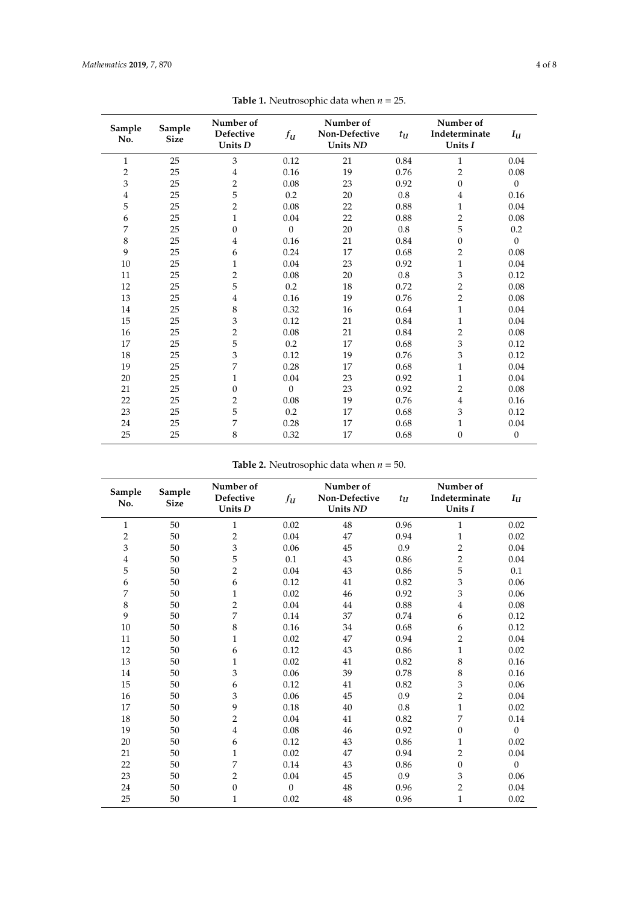<span id="page-3-0"></span>

| Sample<br>No.  | Sample<br><b>Size</b> | Number of<br><b>Defective</b><br>Units D | $f_{\mathfrak{U}}$ | Number of<br>Non-Defective<br>Units ND | $t_U$   | Number of<br>Indeterminate<br>Units I | $I_U$        |
|----------------|-----------------------|------------------------------------------|--------------------|----------------------------------------|---------|---------------------------------------|--------------|
| 1              | 25                    | 3                                        | 0.12               | 21                                     | 0.84    | 1                                     | 0.04         |
| $\overline{c}$ | 25                    | $\overline{4}$                           | 0.16               | 19                                     | 0.76    | $\overline{2}$                        | 0.08         |
| 3              | 25                    | $\overline{2}$                           | 0.08               | 23                                     | 0.92    | $\mathbf{0}$                          | $\theta$     |
| $\overline{4}$ | 25                    | 5                                        | 0.2                | 20                                     | $0.8\,$ | $\overline{4}$                        | 0.16         |
| 5              | 25                    | $\overline{2}$                           | 0.08               | 22                                     | 0.88    | $\mathbf{1}$                          | 0.04         |
| 6              | 25                    | $\mathbf{1}$                             | 0.04               | 22                                     | 0.88    | $\overline{2}$                        | 0.08         |
| 7              | 25                    | $\theta$                                 | $\theta$           | 20                                     | $0.8\,$ | 5                                     | 0.2          |
| $\,8\,$        | 25                    | $\overline{4}$                           | 0.16               | 21                                     | 0.84    | $\mathbf{0}$                          | $\theta$     |
| 9              | 25                    | 6                                        | 0.24               | 17                                     | 0.68    | $\overline{2}$                        | 0.08         |
| 10             | 25                    | 1                                        | 0.04               | 23                                     | 0.92    | $\mathbf{1}$                          | 0.04         |
| 11             | 25                    | $\overline{2}$                           | 0.08               | 20                                     | $0.8\,$ | 3                                     | 0.12         |
| 12             | 25                    | 5                                        | 0.2                | 18                                     | 0.72    | $\overline{2}$                        | 0.08         |
| 13             | 25                    | $\overline{4}$                           | 0.16               | 19                                     | 0.76    | $\overline{2}$                        | 0.08         |
| 14             | 25                    | 8                                        | 0.32               | 16                                     | 0.64    | $\mathbf{1}$                          | 0.04         |
| 15             | 25                    | 3                                        | 0.12               | 21                                     | 0.84    | $\mathbf{1}$                          | 0.04         |
| 16             | 25                    | $\overline{2}$                           | 0.08               | 21                                     | 0.84    | $\overline{2}$                        | 0.08         |
| 17             | 25                    | 5                                        | 0.2                | 17                                     | 0.68    | 3                                     | 0.12         |
| 18             | 25                    | 3                                        | 0.12               | 19                                     | 0.76    | 3                                     | 0.12         |
| 19             | 25                    | 7                                        | 0.28               | 17                                     | 0.68    | $\mathbf{1}$                          | 0.04         |
| 20             | 25                    | $\mathbf{1}$                             | 0.04               | 23                                     | 0.92    | $\mathbf{1}$                          | 0.04         |
| 21             | 25                    | $\Omega$                                 | $\theta$           | 23                                     | 0.92    | $\overline{2}$                        | 0.08         |
| 22             | 25                    | $\overline{2}$                           | 0.08               | 19                                     | 0.76    | $\overline{4}$                        | 0.16         |
| 23             | 25                    | 5                                        | 0.2                | 17                                     | 0.68    | 3                                     | 0.12         |
| 24             | 25                    | 7                                        | 0.28               | 17                                     | 0.68    | $\mathbf{1}$                          | 0.04         |
| 25             | 25                    | 8                                        | 0.32               | 17                                     | 0.68    | $\mathbf{0}$                          | $\mathbf{0}$ |

**Table 1.** Neutrosophic data when *n* = 25.

**Table 2.** Neutrosophic data when  $n = 50$ .

<span id="page-3-1"></span>

| Sample<br>No.  | Sample<br><b>Size</b> | Number of<br>Defective<br>Units D | $f_{\mathbf{U}}$ | Number of<br>Non-Defective<br>Units ND | $t_U$ | Number of<br>Indeterminate<br>Units I | $I_U$    |
|----------------|-----------------------|-----------------------------------|------------------|----------------------------------------|-------|---------------------------------------|----------|
| $\mathbf{1}$   | 50                    | $\mathbf{1}$                      | 0.02             | 48                                     | 0.96  | $\mathbf{1}$                          | 0.02     |
| $\mathbf 2$    | 50                    | $\overline{2}$                    | 0.04             | 47                                     | 0.94  | $\mathbf{1}$                          | 0.02     |
| 3              | 50                    | $\mathfrak z$                     | 0.06             | 45                                     | 0.9   | 2                                     | 0.04     |
| $\overline{4}$ | 50                    | 5                                 | 0.1              | 43                                     | 0.86  | $\overline{2}$                        | 0.04     |
| 5              | 50                    | $\overline{2}$                    | 0.04             | 43                                     | 0.86  | 5                                     | 0.1      |
| 6              | 50                    | 6                                 | 0.12             | 41                                     | 0.82  | $\mathfrak{Z}$                        | 0.06     |
| 7              | 50                    | $\mathbf{1}$                      | 0.02             | 46                                     | 0.92  | 3                                     | 0.06     |
| $\,8\,$        | 50                    | $\overline{2}$                    | 0.04             | 44                                     | 0.88  | $\overline{4}$                        | 0.08     |
| 9              | 50                    | 7                                 | 0.14             | 37                                     | 0.74  | 6                                     | 0.12     |
| 10             | 50                    | $\,8\,$                           | 0.16             | 34                                     | 0.68  | 6                                     | 0.12     |
| 11             | 50                    | $\mathbf{1}$                      | 0.02             | 47                                     | 0.94  | $\overline{2}$                        | 0.04     |
| 12             | 50                    | 6                                 | 0.12             | 43                                     | 0.86  | $\mathbf{1}$                          | 0.02     |
| 13             | 50                    | $\mathbf{1}$                      | 0.02             | 41                                     | 0.82  | 8                                     | 0.16     |
| 14             | 50                    | 3                                 | 0.06             | 39                                     | 0.78  | 8                                     | 0.16     |
| 15             | 50                    | 6                                 | 0.12             | 41                                     | 0.82  | 3                                     | 0.06     |
| 16             | 50                    | 3                                 | 0.06             | 45                                     | 0.9   | 2                                     | 0.04     |
| 17             | 50                    | 9                                 | 0.18             | 40                                     | 0.8   | $\mathbf{1}$                          | 0.02     |
| 18             | 50                    | $\overline{2}$                    | 0.04             | 41                                     | 0.82  | 7                                     | 0.14     |
| 19             | 50                    | $\overline{4}$                    | 0.08             | 46                                     | 0.92  | $\mathbf{0}$                          | $\Omega$ |
| 20             | 50                    | 6                                 | 0.12             | 43                                     | 0.86  | $\mathbf{1}$                          | 0.02     |
| 21             | 50                    | $\mathbf{1}$                      | 0.02             | 47                                     | 0.94  | $\overline{2}$                        | 0.04     |
| 22             | 50                    | 7                                 | 0.14             | 43                                     | 0.86  | $\mathbf{0}$                          | $\theta$ |
| 23             | 50                    | $\overline{2}$                    | $0.04\,$         | 45                                     | 0.9   | $\mathfrak{Z}$                        | $0.06\,$ |
| 24             | 50                    | $\overline{0}$                    | $\theta$         | 48                                     | 0.96  | $\overline{2}$                        | 0.04     |
| 25             | 50                    | $\mathbf{1}$                      | 0.02             | 48                                     | 0.96  | $\mathbf{1}$                          | 0.02     |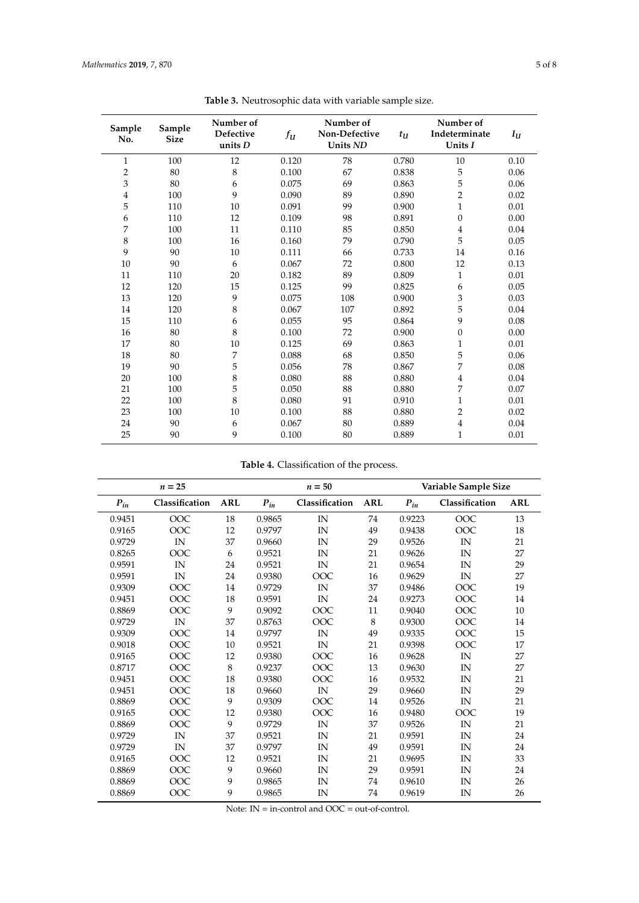<span id="page-4-0"></span>

| Sample<br>No. | Sample<br><b>Size</b> | Number of<br>Defective<br>units $D$ | $f_U$ | Number of<br>Non-Defective<br>Units ND | $t_U$ | Number of<br>Indeterminate<br>Units I | $I_U$ |
|---------------|-----------------------|-------------------------------------|-------|----------------------------------------|-------|---------------------------------------|-------|
| $\mathbf{1}$  | 100                   | 12                                  | 0.120 | 78                                     | 0.780 | 10                                    | 0.10  |
| $\mathbf 2$   | 80                    | 8                                   | 0.100 | 67                                     | 0.838 | 5                                     | 0.06  |
| 3             | 80                    | 6                                   | 0.075 | 69                                     | 0.863 | 5                                     | 0.06  |
| $\bf 4$       | 100                   | 9                                   | 0.090 | 89                                     | 0.890 | $\overline{2}$                        | 0.02  |
| 5             | 110                   | 10                                  | 0.091 | 99                                     | 0.900 | $\mathbf{1}$                          | 0.01  |
| 6             | 110                   | 12                                  | 0.109 | 98                                     | 0.891 | $\overline{0}$                        | 0.00  |
| 7             | 100                   | 11                                  | 0.110 | 85                                     | 0.850 | $\overline{4}$                        | 0.04  |
| $\,8\,$       | 100                   | 16                                  | 0.160 | 79                                     | 0.790 | 5                                     | 0.05  |
| 9             | 90                    | 10                                  | 0.111 | 66                                     | 0.733 | 14                                    | 0.16  |
| 10            | 90                    | 6                                   | 0.067 | 72                                     | 0.800 | 12                                    | 0.13  |
| 11            | 110                   | 20                                  | 0.182 | 89                                     | 0.809 | $\mathbf{1}$                          | 0.01  |
| 12            | 120                   | 15                                  | 0.125 | 99                                     | 0.825 | 6                                     | 0.05  |
| 13            | 120                   | 9                                   | 0.075 | 108                                    | 0.900 | 3                                     | 0.03  |
| 14            | 120                   | 8                                   | 0.067 | 107                                    | 0.892 | 5                                     | 0.04  |
| 15            | 110                   | 6                                   | 0.055 | 95                                     | 0.864 | 9                                     | 0.08  |
| 16            | 80                    | 8                                   | 0.100 | 72                                     | 0.900 | $\overline{0}$                        | 0.00  |
| 17            | 80                    | 10                                  | 0.125 | 69                                     | 0.863 | $\mathbf{1}$                          | 0.01  |
| 18            | 80                    | 7                                   | 0.088 | 68                                     | 0.850 | 5                                     | 0.06  |
| 19            | 90                    | 5                                   | 0.056 | 78                                     | 0.867 | 7                                     | 0.08  |
| 20            | 100                   | 8                                   | 0.080 | 88                                     | 0.880 | $\overline{4}$                        | 0.04  |
| 21            | 100                   | 5                                   | 0.050 | 88                                     | 0.880 | 7                                     | 0.07  |
| 22            | 100                   | 8                                   | 0.080 | 91                                     | 0.910 | $\mathbf 1$                           | 0.01  |
| 23            | 100                   | 10                                  | 0.100 | 88                                     | 0.880 | $\overline{2}$                        | 0.02  |
| 24            | 90                    | 6                                   | 0.067 | 80                                     | 0.889 | 4                                     | 0.04  |
| 25            | 90                    | 9                                   | 0.100 | 80                                     | 0.889 | $\mathbf{1}$                          | 0.01  |

**Table 3.** Neutrosophic data with variable sample size.

**Table 4.** Classification of the process.

<span id="page-4-1"></span>

|          | $n = 25$       |            | $n = 50$ |                | Variable Sample Size |          |                |            |
|----------|----------------|------------|----------|----------------|----------------------|----------|----------------|------------|
| $P_{in}$ | Classification | <b>ARL</b> | $P_{in}$ | Classification | <b>ARL</b>           | $P_{in}$ | Classification | <b>ARL</b> |
| 0.9451   | OOC            | 18         | 0.9865   | IN             | 74                   | 0.9223   | OOC            | 13         |
| 0.9165   | OOC            | 12         | 0.9797   | IN             | 49                   | 0.9438   | OOC            | 18         |
| 0.9729   | IN             | 37         | 0.9660   | IN             | 29                   | 0.9526   | IN             | 21         |
| 0.8265   | OOC            | 6          | 0.9521   | IN             | 21                   | 0.9626   | IN             | 27         |
| 0.9591   | IN             | 24         | 0.9521   | IN             | 21                   | 0.9654   | IN             | 29         |
| 0.9591   | IN             | 24         | 0.9380   | OOC            | 16                   | 0.9629   | IN             | 27         |
| 0.9309   | OOC            | 14         | 0.9729   | IN             | 37                   | 0.9486   | OOC            | 19         |
| 0.9451   | OOC            | 18         | 0.9591   | IN             | 24                   | 0.9273   | OOC            | 14         |
| 0.8869   | OOC            | 9          | 0.9092   | OOC            | 11                   | 0.9040   | OOC            | 10         |
| 0.9729   | IN             | 37         | 0.8763   | OOC            | 8                    | 0.9300   | OOC            | 14         |
| 0.9309   | OOC            | 14         | 0.9797   | IN             | 49                   | 0.9335   | OOC            | 15         |
| 0.9018   | OOC            | $10\,$     | 0.9521   | IN             | 21                   | 0.9398   | OOC            | 17         |
| 0.9165   | OOC            | 12         | 0.9380   | OOC            | 16                   | 0.9628   | IN             | 27         |
| 0.8717   | OOC            | 8          | 0.9237   | OOC            | 13                   | 0.9630   | IN             | 27         |
| 0.9451   | OOC            | 18         | 0.9380   | OOC            | 16                   | 0.9532   | IN             | 21         |
| 0.9451   | OOC            | 18         | 0.9660   | IN             | 29                   | 0.9660   | IN             | 29         |
| 0.8869   | OOC            | 9          | 0.9309   | OOC            | 14                   | 0.9526   | IN             | 21         |
| 0.9165   | OOC            | 12         | 0.9380   | OOC            | 16                   | 0.9480   | OOC            | 19         |
| 0.8869   | OOC            | 9          | 0.9729   | IN             | 37                   | 0.9526   | IN             | 21         |
| 0.9729   | IN             | 37         | 0.9521   | IN             | 21                   | 0.9591   | IN             | 24         |
| 0.9729   | IN             | 37         | 0.9797   | IN             | 49                   | 0.9591   | IN             | 24         |
| 0.9165   | OOC            | 12         | 0.9521   | IN             | 21                   | 0.9695   | IN             | 33         |
| 0.8869   | OOC            | 9          | 0.9660   | IN             | 29                   | 0.9591   | IN             | 24         |
| 0.8869   | OOC            | 9          | 0.9865   | IN             | 74                   | 0.9610   | IN             | 26         |
| 0.8869   | OOC            | 9          | 0.9865   | IN             | 74                   | 0.9619   | IN             | 26         |

Note:  $IN = in-control$  and  $OOC = out-of-control$ .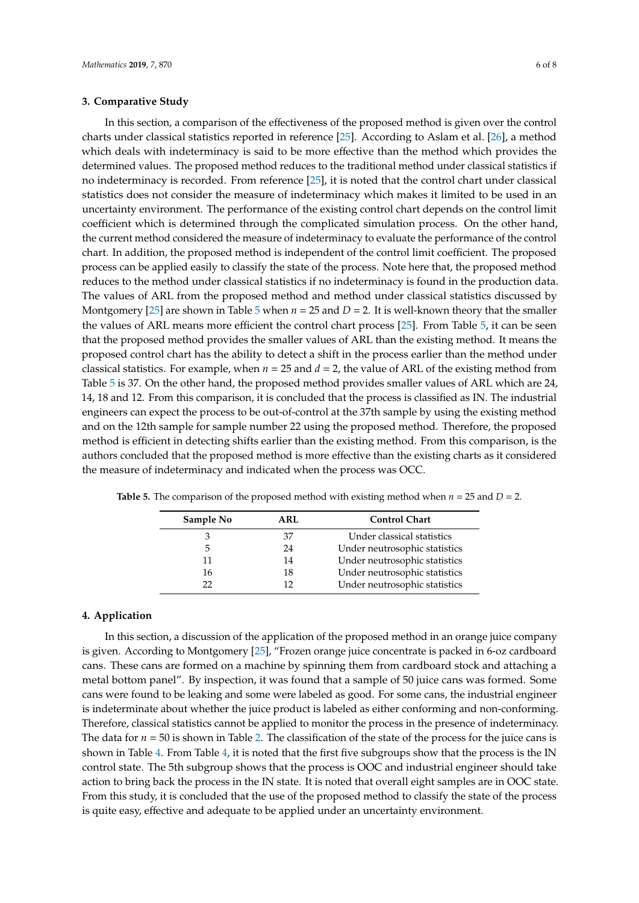## <span id="page-5-0"></span>**3. Comparative Study**

<span id="page-5-1"></span>**4. Application**

In this section, a comparison of the effectiveness of the proposed method is given over the control charts under classical statistics reported in reference [\[25\]](#page-7-5). According to Aslam et al. [\[26\]](#page-7-6), a method which deals with indeterminacy is said to be more effective than the method which provides the determined values. The proposed method reduces to the traditional method under classical statistics if no indeterminacy is recorded. From reference [\[25\]](#page-7-5), it is noted that the control chart under classical statistics does not consider the measure of indeterminacy which makes it limited to be used in an uncertainty environment. The performance of the existing control chart depends on the control limit coefficient which is determined through the complicated simulation process. On the other hand, the current method considered the measure of indeterminacy to evaluate the performance of the control chart. In addition, the proposed method is independent of the control limit coefficient. The proposed process can be applied easily to classify the state of the process. Note here that, the proposed method reduces to the method under classical statistics if no indeterminacy is found in the production data. The values of ARL from the proposed method and method under classical statistics discussed by Montgomery [\[25\]](#page-7-5) are shown in Table [5](#page-5-2) when  $n = 25$  and  $D = 2$ . It is well-known theory that the smaller the values of ARL means more efficient the control chart process [\[25\]](#page-7-5). From Table [5,](#page-5-2) it can be seen that the proposed method provides the smaller values of ARL than the existing method. It means the proposed control chart has the ability to detect a shift in the process earlier than the method under classical statistics. For example, when  $n = 25$  and  $d = 2$ , the value of ARL of the existing method from Table [5](#page-5-2) is 37. On the other hand, the proposed method provides smaller values of ARL which are 24, 14, 18 and 12. From this comparison, it is concluded that the process is classified as IN. The industrial engineers can expect the process to be out-of-control at the 37th sample by using the existing method and on the 12th sample for sample number 22 using the proposed method. Therefore, the proposed method is efficient in detecting shifts earlier than the existing method. From this comparison, is the authors concluded that the proposed method is more effective than the existing charts as it considered the measure of indeterminacy and indicated when the process was OCC.

| on, a discussion of the application of the pre         |  |
|--------------------------------------------------------|--|
| $\frac{1}{2}$ ing to Montgomery [25] "Frozen orange in |  |

In this section, a discussion of the application of the proposed method in an orange juice company is given. According to Montgomery [\[25\]](#page-7-5), "Frozen orange juice concentrate is packed in 6-oz cardboard cans. These cans are formed on a machine by spinning them from cardboard stock and attaching a metal bottom panel". By inspection, it was found that a sample of 50 juice cans was formed. Some cans were found to be leaking and some were labeled as good. For some cans, the industrial engineer is indeterminate about whether the juice product is labeled as either conforming and non-conforming. Therefore, classical statistics cannot be applied to monitor the process in the presence of indeterminacy. The data for  $n = 50$  is shown in Table [2.](#page-3-1) The classification of the state of the process for the juice cans is shown in Table [4.](#page-4-1) From Table [4,](#page-4-1) it is noted that the first five subgroups show that the process is the IN control state. The 5th subgroup shows that the process is OOC and industrial engineer should take action to bring back the process in the IN state. It is noted that overall eight samples are in OOC state. From this study, it is concluded that the use of the proposed method to classify the state of the process is quite easy, effective and adequate to be applied under an uncertainty environment.

<span id="page-5-2"></span>**Table 5.** The comparison of the proposed method with existing method when  $n = 25$  and  $D = 2$ .

3 37 Under classical statistics 5 24 Under neutrosophic statistics 11 14 Under neutrosophic statistics 16 18 Under neutrosophic statistics 22 12 Under neutrosophic statistics

**Sample No ARL Control Chart**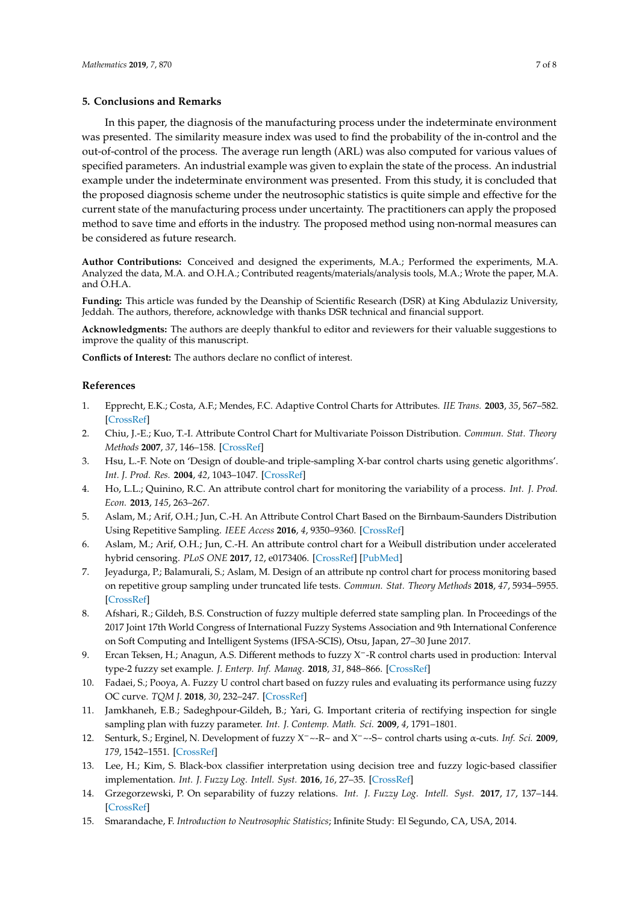## **5. Conclusions and Remarks**

In this paper, the diagnosis of the manufacturing process under the indeterminate environment was presented. The similarity measure index was used to find the probability of the in-control and the out-of-control of the process. The average run length (ARL) was also computed for various values of specified parameters. An industrial example was given to explain the state of the process. An industrial example under the indeterminate environment was presented. From this study, it is concluded that the proposed diagnosis scheme under the neutrosophic statistics is quite simple and effective for the current state of the manufacturing process under uncertainty. The practitioners can apply the proposed method to save time and efforts in the industry. The proposed method using non-normal measures can be considered as future research.

**Author Contributions:** Conceived and designed the experiments, M.A.; Performed the experiments, M.A. Analyzed the data, M.A. and O.H.A.; Contributed reagents/materials/analysis tools, M.A.; Wrote the paper, M.A. and O.H.A.

**Funding:** This article was funded by the Deanship of Scientific Research (DSR) at King Abdulaziz University, Jeddah. The authors, therefore, acknowledge with thanks DSR technical and financial support.

**Acknowledgments:** The authors are deeply thankful to editor and reviewers for their valuable suggestions to improve the quality of this manuscript.

**Conflicts of Interest:** The authors declare no conflict of interest.

## **References**

- <span id="page-6-0"></span>1. Epprecht, E.K.; Costa, A.F.; Mendes, F.C. Adaptive Control Charts for Attributes. *IIE Trans.* **2003**, *35*, 567–582. [\[CrossRef\]](http://dx.doi.org/10.1080/07408170304427)
- <span id="page-6-1"></span>2. Chiu, J.-E.; Kuo, T.-I. Attribute Control Chart for Multivariate Poisson Distribution. *Commun. Stat. Theory Methods* **2007**, *37*, 146–158. [\[CrossRef\]](http://dx.doi.org/10.1080/03610920701648771)
- <span id="page-6-2"></span>3. Hsu, L.-F. Note on 'Design of double-and triple-sampling X-bar control charts using genetic algorithms'. *Int. J. Prod. Res.* **2004**, *42*, 1043–1047. [\[CrossRef\]](http://dx.doi.org/10.1080/00207540310001632439)
- <span id="page-6-3"></span>4. Ho, L.L.; Quinino, R.C. An attribute control chart for monitoring the variability of a process. *Int. J. Prod. Econ.* **2013**, *145*, 263–267.
- <span id="page-6-4"></span>5. Aslam, M.; Arif, O.H.; Jun, C.-H. An Attribute Control Chart Based on the Birnbaum-Saunders Distribution Using Repetitive Sampling. *IEEE Access* **2016**, *4*, 9350–9360. [\[CrossRef\]](http://dx.doi.org/10.1109/ACCESS.2016.2643692)
- <span id="page-6-5"></span>6. Aslam, M.; Arif, O.H.; Jun, C.-H. An attribute control chart for a Weibull distribution under accelerated hybrid censoring. *PLoS ONE* **2017**, *12*, e0173406. [\[CrossRef\]](http://dx.doi.org/10.1371/journal.pone.0173406) [\[PubMed\]](http://www.ncbi.nlm.nih.gov/pubmed/28257479)
- <span id="page-6-6"></span>7. Jeyadurga, P.; Balamurali, S.; Aslam, M. Design of an attribute np control chart for process monitoring based on repetitive group sampling under truncated life tests. *Commun. Stat. Theory Methods* **2018**, *47*, 5934–5955. [\[CrossRef\]](http://dx.doi.org/10.1080/03610926.2017.1404098)
- <span id="page-6-7"></span>8. Afshari, R.; Gildeh, B.S. Construction of fuzzy multiple deferred state sampling plan. In Proceedings of the 2017 Joint 17th World Congress of International Fuzzy Systems Association and 9th International Conference on Soft Computing and Intelligent Systems (IFSA-SCIS), Otsu, Japan, 27–30 June 2017.
- <span id="page-6-8"></span>9. Ercan Teksen, H.; Anagun, A.S. Different methods to fuzzy X−-R control charts used in production: Interval type-2 fuzzy set example. *J. Enterp. Inf. Manag.* **2018**, *31*, 848–866. [\[CrossRef\]](http://dx.doi.org/10.1108/JEIM-01-2018-0011)
- <span id="page-6-9"></span>10. Fadaei, S.; Pooya, A. Fuzzy U control chart based on fuzzy rules and evaluating its performance using fuzzy OC curve. *TQM J.* **2018**, *30*, 232–247. [\[CrossRef\]](http://dx.doi.org/10.1108/TQM-10-2017-0118)
- <span id="page-6-10"></span>11. Jamkhaneh, E.B.; Sadeghpour-Gildeh, B.; Yari, G. Important criteria of rectifying inspection for single sampling plan with fuzzy parameter. *Int. J. Contemp. Math. Sci.* **2009**, *4*, 1791–1801.
- <span id="page-6-11"></span>12. Senturk, S.; Erginel, N. Development of fuzzy X−~-R~ and X−~-S~ control charts using α-cuts. *Inf. Sci.* **2009**, *179*, 1542–1551. [\[CrossRef\]](http://dx.doi.org/10.1016/j.ins.2008.09.022)
- <span id="page-6-12"></span>13. Lee, H.; Kim, S. Black-box classifier interpretation using decision tree and fuzzy logic-based classifier implementation. *Int. J. Fuzzy Log. Intell. Syst.* **2016**, *16*, 27–35. [\[CrossRef\]](http://dx.doi.org/10.5391/IJFIS.2016.16.1.27)
- <span id="page-6-13"></span>14. Grzegorzewski, P. On separability of fuzzy relations. *Int. J. Fuzzy Log. Intell. Syst.* **2017**, *17*, 137–144. [\[CrossRef\]](http://dx.doi.org/10.5391/IJFIS.2017.17.3.137)
- <span id="page-6-14"></span>15. Smarandache, F. *Introduction to Neutrosophic Statistics*; Infinite Study: El Segundo, CA, USA, 2014.